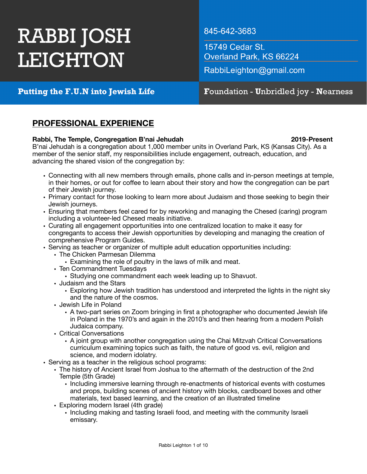# **RABBI JOSH LEIGHTON**

845-642-3683

15749 Cedar St. Overland Park, KS 66224

RabbiLeighton@gmail.com

Putting the F.U.N into Jewish Life

# Foundation - Unbridled joy - Nearness

# **PROFESSIONAL EXPERIENCE**

## **Rabbi, The Temple, Congregation B'nai Jehudah 2019-Present**

B'nai Jehudah is a congregation about 1,000 member units in Overland Park, KS (Kansas City). As a member of the senior staff, my responsibilities include engagement, outreach, education, and advancing the shared vision of the congregation by:

- Connecting with all new members through emails, phone calls and in-person meetings at temple, in their homes, or out for coffee to learn about their story and how the congregation can be part of their Jewish journey.
- Primary contact for those looking to learn more about Judaism and those seeking to begin their Jewish journeys.
- Ensuring that members feel cared for by reworking and managing the Chesed (caring) program including a volunteer-led Chesed meals initiative.
- Curating all engagement opportunities into one centralized location to make it easy for congregants to access their Jewish opportunities by developing and managing the creation of comprehensive Program Guides.
- Serving as teacher or organizer of multiple adult education opportunities including:
	- The Chicken Parmesan Dilemma
		- Examining the role of poultry in the laws of milk and meat.
	- Ten Commandment Tuesdays
		- Studying one commandment each week leading up to Shavuot.
	- Judaism and the Stars
		- Exploring how Jewish tradition has understood and interpreted the lights in the night sky and the nature of the cosmos.
	- Jewish Life in Poland
		- A two-part series on Zoom bringing in first a photographer who documented Jewish life in Poland in the 1970's and again in the 2010's and then hearing from a modern Polish Judaica company.
	- Critical Conversations
		- A joint group with another congregation using the Chai Mitzvah Critical Conversations curriculum examining topics such as faith, the nature of good vs. evil, religion and science, and modern idolatry.
- Serving as a teacher in the religious school programs:
	- The history of Ancient Israel from Joshua to the aftermath of the destruction of the 2nd Temple (5th Grade)
		- Including immersive learning through re-enactments of historical events with costumes and props, building scenes of ancient history with blocks, cardboard boxes and other materials, text based learning, and the creation of an illustrated timeline
	- Exploring modern Israel (4th grade)
		- Including making and tasting Israeli food, and meeting with the community Israeli emissary.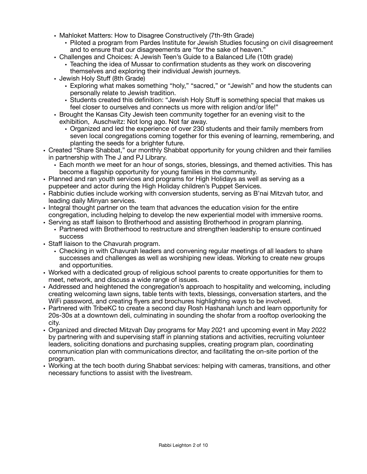- Mahloket Matters: How to Disagree Constructively (7th-9th Grade)
	- Piloted a program from Pardes Institute for Jewish Studies focusing on civil disagreement and to ensure that our disagreements are "for the sake of heaven."
- Challenges and Choices: A Jewish Teen's Guide to a Balanced Life (10th grade)
	- Teaching the idea of Mussar to confirmation students as they work on discovering themselves and exploring their individual Jewish journeys.
- Jewish Holy Stuff (8th Grade)
	- Exploring what makes something "holy," "sacred," or "Jewish" and how the students can personally relate to Jewish tradition.
	- Students created this definition: "Jewish Holy Stuff is something special that makes us feel closer to ourselves and connects us more with religion and/or life!"
- Brought the Kansas City Jewish teen community together for an evening visit to the exhibition, Auschwitz: Not long ago. Not far away.
	- Organized and led the experience of over 230 students and their family members from seven local congregations coming together for this evening of learning, remembering, and planting the seeds for a brighter future.
- Created "Share Shabbat," our monthly Shabbat opportunity for young children and their families in partnership with The J and PJ Library.
	- Each month we meet for an hour of songs, stories, blessings, and themed activities. This has become a flagship opportunity for young families in the community.
- Planned and ran youth services and programs for High Holidays as well as serving as a puppeteer and actor during the High Holiday children's Puppet Services.
- Rabbinic duties include working with conversion students, serving as B'nai Mitzvah tutor, and leading daily Minyan services.
- Integral thought partner on the team that advances the education vision for the entire congregation, including helping to develop the new experiential model with immersive rooms.
- Serving as staff liaison to Brotherhood and assisting Brotherhood in program planning.
	- Partnered with Brotherhood to restructure and strengthen leadership to ensure continued success
- Staff liaison to the Chavurah program.
	- Checking in with Chavurah leaders and convening regular meetings of all leaders to share successes and challenges as well as worshiping new ideas. Working to create new groups and opportunities.
- Worked with a dedicated group of religious school parents to create opportunities for them to meet, network, and discuss a wide range of issues.
- Addressed and heightened the congregation's approach to hospitality and welcoming, including creating welcoming lawn signs, table tents with texts, blessings, conversation starters, and the WiFi password, and creating flyers and brochures highlighting ways to be involved.
- Partnered with TribeKC to create a second day Rosh Hashanah lunch and learn opportunity for 20s-30s at a downtown deli, culminating in sounding the shofar from a rooftop overlooking the city.
- Organized and directed Mitzvah Day programs for May 2021 and upcoming event in May 2022 by partnering with and supervising staff in planning stations and activities, recruiting volunteer leaders, soliciting donations and purchasing supplies, creating program plan, coordinating communication plan with communications director, and facilitating the on-site portion of the program.
- Working at the tech booth during Shabbat services: helping with cameras, transitions, and other necessary functions to assist with the livestream.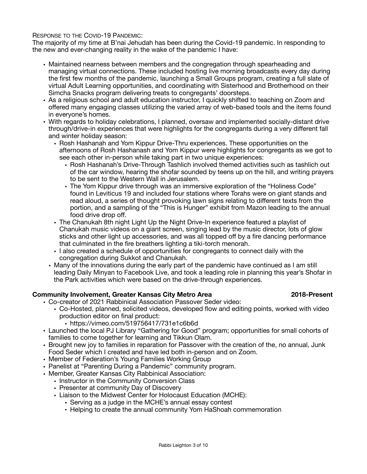RESPONSE TO THE COVID-19 PANDEMIC:

The majority of my time at B'nai Jehudah has been during the Covid-19 pandemic. In responding to the new and ever-changing reality in the wake of the pandemic I have:

- Maintained nearness between members and the congregation through spearheading and managing virtual connections. These included hosting live morning broadcasts every day during the first few months of the pandemic, launching a Small Groups program, creating a full slate of virtual Adult Learning opportunities, and coordinating with Sisterhood and Brotherhood on their Simcha Snacks program delivering treats to congregants' doorsteps.
- As a religious school and adult education instructor, I quickly shifted to teaching on Zoom and offered many engaging classes utilizing the varied array of web-based tools and the items found in everyone's homes.
- With regards to holiday celebrations, I planned, oversaw and implemented socially-distant drive through/drive-in experiences that were highlights for the congregants during a very different fall and winter holiday season:
	- Rosh Hashanah and Yom Kippur Drive-Thru experiences. These opportunities on the afternoons of Rosh Hashanash and Yom Kippur were highlights for congregants as we got to see each other in-person while taking part in two unique experiences:
		- Rosh Hashanah's Drive-Through Tashlich involved themed activities such as tashlich out of the car window, hearing the shofar sounded by teens up on the hill, and writing prayers to be sent to the Western Wall in Jerusalem.
		- The Yom Kippur drive through was an immersive exploration of the "Holiness Code" found in Leviticus 19 and included four stations where Torahs were on giant stands and read aloud, a series of thought provoking lawn signs relating to different texts from the portion, and a sampling of the "This is Hunger" exhibit from Mazon leading to the annual food drive drop off.
	- The Chanukah 8th night Light Up the Night Drive-In experience featured a playlist of Chanukah music videos on a giant screen, singing lead by the music director, lots of glow sticks and other light up accessories, and was all topped off by a fire dancing performance that culminated in the fire breathers lighting a tiki-torch menorah.
	- I also created a schedule of opportunities for congregants to connect daily with the congregation during Sukkot and Chanukah.
	- Many of the innovations during the early part of the pandemic have continued as I am still leading Daily Minyan to Facebook Live, and took a leading role in planning this year's Shofar in the Park activities which were based on the drive-through experiences.

#### **Community Involvement, Greater Kansas City Metro Area 2018-Present**

- Co-creator of 2021 Rabbinical Association Passover Seder video:
	- Co-Hosted, planned, solicited videos, developed flow and editing points, worked with video production editor on final product:
		- https://vimeo.com/519756417/731e1c6b6d
- Launched the local PJ Library "Gathering for Good" program; opportunities for small cohorts of families to come together for learning and Tikkun Olam.
- Brought new joy to families in reparation for Passover with the creation of the, no annual, Junk Food Seder which I created and have led both in-person and on Zoom.
- Member of Federation's Young Families Working Group
- Panelist at "Parenting During a Pandemic" community program.
- Member, Greater Kansas City Rabbinical Association:
	- Instructor in the Community Conversion Class
	- Presenter at community Day of Discovery
	- Liaison to the Midwest Center for Holocaust Education (MCHE):
		- Serving as a judge in the MCHE's annual essay contest
		- Helping to create the annual community Yom HaShoah commemoration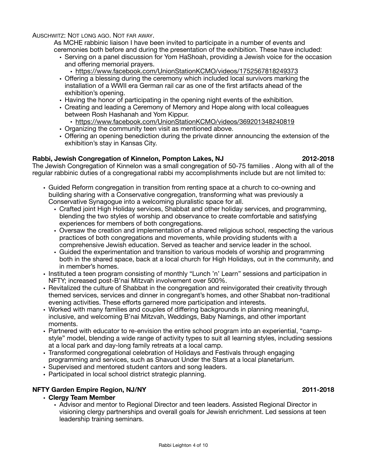AUSCHWITZ: NOT LONG AGO. NOT FAR AWAY.

As MCHE rabbinic liaison I have been invited to participate in a number of events and ceremonies both before and during the presentation of the exhibition. These have included:

- Serving on a panel discussion for Yom HaShoah, providing a Jewish voice for the occasion and offering memorial prayers.
	- <https://www.facebook.com/UnionStationKCMO/videos/1752567818249373>
- Offering a blessing during the ceremony which included local survivors marking the installation of a WWII era German rail car as one of the first artifacts ahead of the exhibition's opening.
- Having the honor of participating in the opening night events of the exhibition.
- Creating and leading a Ceremony of Memory and Hope along with local colleagues between Rosh Hashanah and Yom Kippur.
	- <https://www.facebook.com/UnionStationKCMO/videos/369201348240819>
- Organizing the community teen visit as mentioned above.
- Offering an opening benediction during the private dinner announcing the extension of the exhibition's stay in Kansas City.

### **Rabbi, Jewish Congregation of Kinnelon, Pompton Lakes, NJ 2012-2018**

The Jewish Congregation of Kinnelon was a small congregation of 50-75 families . Along with all of the regular rabbinic duties of a congregational rabbi my accomplishments include but are not limited to:

- Guided Reform congregation in transition from renting space at a church to co-owning and building sharing with a Conservative congregation, transforming what was previously a Conservative Synagogue into a welcoming pluralistic space for all.
	- Crafted joint High Holiday services, Shabbat and other holiday services, and programming, blending the two styles of worship and observance to create comfortable and satisfying experiences for members of both congregations.
	- Oversaw the creation and implementation of a shared religious school, respecting the various practices of both congregations and movements, while providing students with a comprehensive Jewish education. Served as teacher and service leader in the school.
	- Guided the experimentation and transition to various models of worship and programming both in the shared space, back at a local church for High Holidays, out in the community, and in member's homes.
- Instituted a teen program consisting of monthly "Lunch 'n' Learn" sessions and participation in NFTY; increased post-B'nai Mitzvah involvement over 500%.
- Revitalized the culture of Shabbat in the congregation and reinvigorated their creativity through themed services, services and dinner in congregant's homes, and other Shabbat non-traditional evening activities. These efforts garnered more participation and interests.
- Worked with many families and couples of differing backgrounds in planning meaningful, inclusive, and welcoming B'nai Mitzvah, Weddings, Baby Namings, and other important moments.
- Partnered with educator to re-envision the entire school program into an experiential, "campstyle" model, blending a wide range of activity types to suit all learning styles, including sessions at a local park and day-long family retreats at a local camp.
- Transformed congregational celebration of Holidays and Festivals through engaging programming and services, such as Shavuot Under the Stars at a local planetarium.
- Supervised and mentored student cantors and song leaders.
- Participated in local school district strategic planning.

### **NFTY Garden Empire Region, NJ/NY 2011-2018**

### **• Clergy Team Member**

• Advisor and mentor to Regional Director and teen leaders. Assisted Regional Director in visioning clergy partnerships and overall goals for Jewish enrichment. Led sessions at teen leadership training seminars.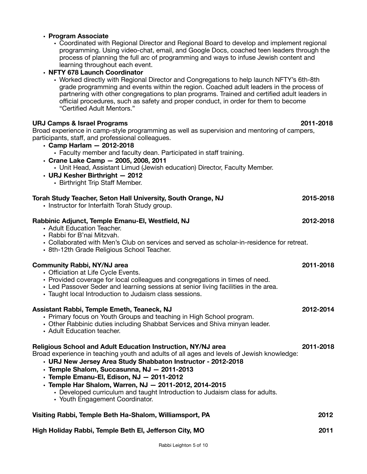| • Coordinated with Regional Director and Regional Board to develop and implement regional<br>programming. Using video-chat, email, and Google Docs, coached teen leaders through the<br>process of planning the full arc of programming and ways to infuse Jewish content and<br>learning throughout each event.                                                                                                                                                                                      |           |
|-------------------------------------------------------------------------------------------------------------------------------------------------------------------------------------------------------------------------------------------------------------------------------------------------------------------------------------------------------------------------------------------------------------------------------------------------------------------------------------------------------|-----------|
| • NFTY 678 Launch Coordinator<br>• Worked directly with Regional Director and Congregations to help launch NFTY's 6th-8th<br>grade programming and events within the region. Coached adult leaders in the process of<br>partnering with other congregations to plan programs. Trained and certified adult leaders in<br>official procedures, such as safety and proper conduct, in order for them to become<br>"Certified Adult Mentors."                                                             |           |
| <b>URJ Camps &amp; Israel Programs</b><br>Broad experience in camp-style programming as well as supervision and mentoring of campers,<br>participants, staff, and professional colleagues.<br>$\cdot$ Camp Harlam $-$ 2012-2018<br>• Faculty member and faculty dean. Participated in staff training.<br>· Crane Lake Camp - 2005, 2008, 2011<br>• Unit Head, Assistant Limud (Jewish education) Director, Faculty Member.<br>$\cdot$ URJ Kesher Birthright - 2012<br>• Birthright Trip Staff Member. | 2011-2018 |
| Torah Study Teacher, Seton Hall University, South Orange, NJ<br>• Instructor for Interfaith Torah Study group.                                                                                                                                                                                                                                                                                                                                                                                        | 2015-2018 |
| Rabbinic Adjunct, Temple Emanu-El, Westfield, NJ<br>• Adult Education Teacher.<br>• Rabbi for B'nai Mitzvah.<br>• Collaborated with Men's Club on services and served as scholar-in-residence for retreat.<br>• 8th-12th Grade Religious School Teacher.                                                                                                                                                                                                                                              | 2012-2018 |
| <b>Community Rabbi, NY/NJ area</b><br>• Officiation at Life Cycle Events.<br>• Provided coverage for local colleagues and congregations in times of need.<br>• Led Passover Seder and learning sessions at senior living facilities in the area.<br>• Taught local Introduction to Judaism class sessions.                                                                                                                                                                                            | 2011-2018 |
| Assistant Rabbi, Temple Emeth, Teaneck, NJ<br>• Primary focus on Youth Groups and teaching in High School program.<br>• Other Rabbinic duties including Shabbat Services and Shiva minyan leader.<br>• Adult Education teacher.                                                                                                                                                                                                                                                                       | 2012-2014 |
| Religious School and Adult Education Instruction, NY/NJ area<br>Broad experience in teaching youth and adults of all ages and levels of Jewish knowledge:<br>· URJ New Jersey Area Study Shabbaton Instructor - 2012-2018<br>· Temple Shalom, Succasunna, NJ - 2011-2013<br>· Temple Emanu-El, Edison, NJ - 2011-2012<br>· Temple Har Shalom, Warren, NJ - 2011-2012, 2014-2015<br>• Developed curriculum and taught Introduction to Judaism class for adults.<br>• Youth Engagement Coordinator.     | 2011-2018 |
| Visiting Rabbi, Temple Beth Ha-Shalom, Williamsport, PA                                                                                                                                                                                                                                                                                                                                                                                                                                               | 2012      |
| High Holiday Rabbi, Temple Beth El, Jefferson City, MO                                                                                                                                                                                                                                                                                                                                                                                                                                                | 2011      |

**• Program Associate**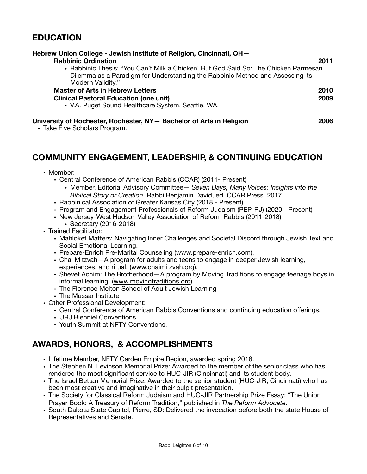# **EDUCATION**

| Hebrew Union College - Jewish Institute of Religion, Cincinnati, OH-<br><b>Rabbinic Ordination</b><br>• Rabbinic Thesis: "You Can't Milk a Chicken! But God Said So: The Chicken Parmesan<br>Dilemma as a Paradigm for Understanding the Rabbinic Method and Assessing its<br>Modern Validity." | 2011 |
|-------------------------------------------------------------------------------------------------------------------------------------------------------------------------------------------------------------------------------------------------------------------------------------------------|------|
| <b>Master of Arts in Hebrew Letters</b>                                                                                                                                                                                                                                                         | 2010 |
| <b>Clinical Pastoral Education (one unit)</b>                                                                                                                                                                                                                                                   | 2009 |
| • V.A. Puget Sound Healthcare System, Seattle, WA.                                                                                                                                                                                                                                              |      |
| University of Rochester, Rochester, NY- Bachelor of Arts in Religion                                                                                                                                                                                                                            | 2006 |

• Take Five Scholars Program.

# **COMMUNITY ENGAGEMENT, LEADERSHIP, & CONTINUING EDUCATION**

- Member:
	- Central Conference of American Rabbis (CCAR) (2011- Present)
		- Member, Editorial Advisory Committee— *Seven Days, Many Voices: Insights into the Biblical Story or Creation*. Rabbi Benjamin David, ed. CCAR Press. 2017.
	- Rabbinical Association of Greater Kansas City (2018 Present)
	- Program and Engagement Professionals of Reform Judaism (PEP-RJ) (2020 Present)
	- New Jersey-West Hudson Valley Association of Reform Rabbis (2011-2018)
	- Secretary (2016-2018)
- Trained Facilitator:
	- Mahloket Matters: Navigating Inner Challenges and Societal Discord through Jewish Text and Social Emotional Learning.
	- Prepare-Enrich Pre-Marital Counseling (www.prepare-enrich.com).
	- Chai Mitzvah—A program for adults and teens to engage in deeper Jewish learning, experiences, and ritual. (www.chaimitzvah.org).
	- Shevet Achim: The Brotherhood—A program by Moving Traditions to engage teenage boys in informal learning. ([www.movingtraditions.org](http://www.movingtraditions.org)).
	- The Florence Melton School of Adult Jewish Learning
	- The Mussar Institute
- Other Professional Development:
	- Central Conference of American Rabbis Conventions and continuing education offerings.
	- URJ Bienniel Conventions.
	- Youth Summit at NFTY Conventions.

# **AWARDS, HONORS, & ACCOMPLISHMENTS**

- Lifetime Member, NFTY Garden Empire Region, awarded spring 2018.
- The Stephen N. Levinson Memorial Prize: Awarded to the member of the senior class who has rendered the most significant service to HUC-JIR (Cincinnati) and its student body.
- The Israel Bettan Memorial Prize: Awarded to the senior student (HUC-JIR, Cincinnati) who has been most creative and imaginative in their pulpit presentation.
- The Society for Classical Reform Judaism and HUC-JIR Partnership Prize Essay: "The Union Prayer Book: A Treasury of Reform Tradition," published in *The Reform Advocate*.
- South Dakota State Capitol, Pierre, SD: Delivered the invocation before both the state House of Representatives and Senate.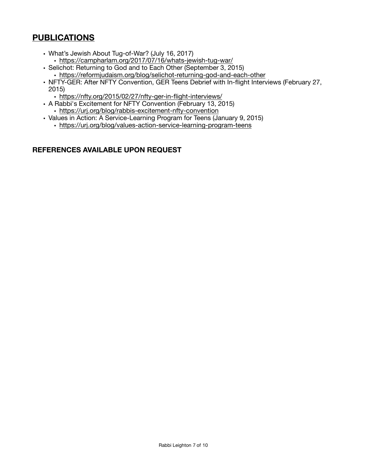# **PUBLICATIONS**

- What's Jewish About Tug-of-War? (July 16, 2017) • <https://campharlam.org/2017/07/16/whats-jewish-tug-war/>
- Selichot: Returning to God and to Each Other (September 3, 2015)
- <https://reformjudaism.org/blog/selichot-returning-god-and-each-other>
- NFTY-GER: After NFTY Convention, GER Teens Debrief with In-flight Interviews (February 27, 2015)
	- <https://nfty.org/2015/02/27/nfty-ger-in-flight-interviews/>
- A Rabbi's Excitement for NFTY Convention (February 13, 2015) • <https://urj.org/blog/rabbis-excitement-nfty-convention>
- Values in Action: A Service-Learning Program for Teens (January 9, 2015)
	- <https://urj.org/blog/values-action-service-learning-program-teens>

## **REFERENCES AVAILABLE UPON REQUEST**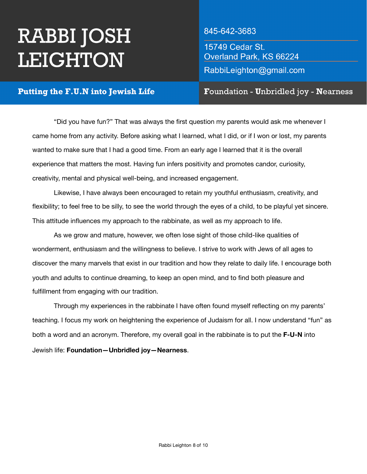# **RABBI JOSH** LEIGHTON

 

# 845-642-3683

15749 Cedar St. Overland Park, KS 66224 RabbiLeighton@gmail.com

# Putting the F.U.N into Jewish Life

Foundation - Unbridled joy - Nearness

"Did you have fun?" That was always the first question my parents would ask me whenever I came home from any activity. Before asking what I learned, what I did, or if I won or lost, my parents wanted to make sure that I had a good time. From an early age I learned that it is the overall experience that matters the most. Having fun infers positivity and promotes candor, curiosity, creativity, mental and physical well-being, and increased engagement. 

Likewise, I have always been encouraged to retain my youthful enthusiasm, creativity, and flexibility; to feel free to be silly, to see the world through the eyes of a child, to be playful yet sincere. This attitude influences my approach to the rabbinate, as well as my approach to life.

As we grow and mature, however, we often lose sight of those child-like qualities of wonderment, enthusiasm and the willingness to believe. I strive to work with Jews of all ages to discover the many marvels that exist in our tradition and how they relate to daily life. I encourage both youth and adults to continue dreaming, to keep an open mind, and to find both pleasure and fulfillment from engaging with our tradition.

Through my experiences in the rabbinate I have often found myself reflecting on my parents' teaching. I focus my work on heightening the experience of Judaism for all. I now understand "fun" as both a word and an acronym. Therefore, my overall goal in the rabbinate is to put the **F-U-N** into Jewish life: **Foundation—Unbridled joy—Nearness**.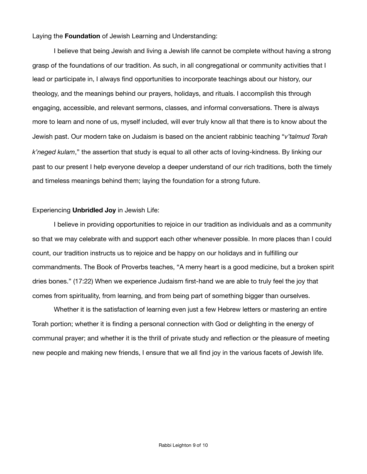#### Laying the **Foundation** of Jewish Learning and Understanding:

I believe that being Jewish and living a Jewish life cannot be complete without having a strong grasp of the foundations of our tradition. As such, in all congregational or community activities that I lead or participate in, I always find opportunities to incorporate teachings about our history, our theology, and the meanings behind our prayers, holidays, and rituals. I accomplish this through engaging, accessible, and relevant sermons, classes, and informal conversations. There is always more to learn and none of us, myself included, will ever truly know all that there is to know about the Jewish past. Our modern take on Judaism is based on the ancient rabbinic teaching "*v'talmud Torah k'neged kulam*," the assertion that study is equal to all other acts of loving-kindness. By linking our past to our present I help everyone develop a deeper understand of our rich traditions, both the timely and timeless meanings behind them; laying the foundation for a strong future.

#### Experiencing **Unbridled Joy** in Jewish Life:

I believe in providing opportunities to rejoice in our tradition as individuals and as a community so that we may celebrate with and support each other whenever possible. In more places than I could count, our tradition instructs us to rejoice and be happy on our holidays and in fulfilling our commandments. The Book of Proverbs teaches, "A merry heart is a good medicine, but a broken spirit dries bones." (17:22) When we experience Judaism first-hand we are able to truly feel the joy that comes from spirituality, from learning, and from being part of something bigger than ourselves.

Whether it is the satisfaction of learning even just a few Hebrew letters or mastering an entire Torah portion; whether it is finding a personal connection with God or delighting in the energy of communal prayer; and whether it is the thrill of private study and reflection or the pleasure of meeting new people and making new friends, I ensure that we all find joy in the various facets of Jewish life.